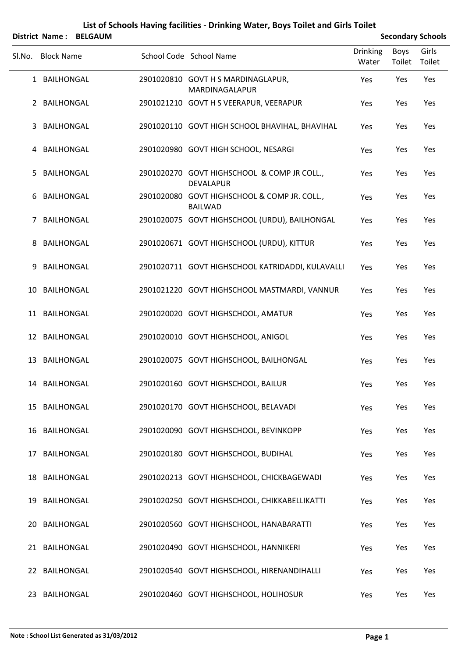|        |                   | District Name: BELGAUM |                                                                 |                          |                | <b>Secondary Schools</b> |  |
|--------|-------------------|------------------------|-----------------------------------------------------------------|--------------------------|----------------|--------------------------|--|
| Sl.No. | <b>Block Name</b> |                        | School Code School Name                                         | <b>Drinking</b><br>Water | Boys<br>Toilet | Girls<br>Toilet          |  |
|        | 1 BAILHONGAL      |                        | 2901020810 GOVT H S MARDINAGLAPUR,<br>MARDINAGALAPUR            | Yes                      | Yes            | Yes                      |  |
|        | 2 BAILHONGAL      |                        | 2901021210 GOVT H S VEERAPUR, VEERAPUR                          | Yes                      | Yes            | Yes                      |  |
| 3      | <b>BAILHONGAL</b> |                        | 2901020110 GOVT HIGH SCHOOL BHAVIHAL, BHAVIHAL                  | Yes                      | Yes            | Yes                      |  |
|        | 4 BAILHONGAL      |                        | 2901020980 GOVT HIGH SCHOOL, NESARGI                            | Yes                      | Yes            | Yes                      |  |
| 5      | <b>BAILHONGAL</b> |                        | 2901020270 GOVT HIGHSCHOOL & COMP JR COLL.,<br><b>DEVALAPUR</b> | Yes                      | Yes            | Yes                      |  |
| 6      | BAILHONGAL        |                        | 2901020080 GOVT HIGHSCHOOL & COMP JR. COLL.,<br><b>BAILWAD</b>  | Yes                      | Yes            | Yes                      |  |
| 7      | <b>BAILHONGAL</b> |                        | 2901020075 GOVT HIGHSCHOOL (URDU), BAILHONGAL                   | Yes                      | Yes            | Yes                      |  |
| 8      | <b>BAILHONGAL</b> |                        | 2901020671 GOVT HIGHSCHOOL (URDU), KITTUR                       | Yes                      | Yes            | Yes                      |  |
| 9      | <b>BAILHONGAL</b> |                        | 2901020711 GOVT HIGHSCHOOL KATRIDADDI, KULAVALLI                | Yes                      | Yes            | Yes                      |  |
| 10     | BAILHONGAL        |                        | 2901021220 GOVT HIGHSCHOOL MASTMARDI, VANNUR                    | Yes                      | Yes            | Yes                      |  |
|        | 11 BAILHONGAL     |                        | 2901020020 GOVT HIGHSCHOOL, AMATUR                              | Yes                      | Yes            | Yes                      |  |
|        | 12 BAILHONGAL     |                        | 2901020010 GOVT HIGHSCHOOL, ANIGOL                              | Yes                      | Yes            | Yes                      |  |
|        | 13 BAILHONGAL     |                        | 2901020075 GOVT HIGHSCHOOL, BAILHONGAL                          | Yes                      | Yes            | Yes                      |  |
|        | 14 BAILHONGAL     |                        | 2901020160 GOVT HIGHSCHOOL, BAILUR                              | Yes                      | Yes            | Yes                      |  |
|        | 15 BAILHONGAL     |                        | 2901020170 GOVT HIGHSCHOOL, BELAVADI                            | Yes                      | Yes            | Yes                      |  |
|        | 16 BAILHONGAL     |                        | 2901020090 GOVT HIGHSCHOOL, BEVINKOPP                           | Yes                      | Yes            | Yes                      |  |
|        | 17 BAILHONGAL     |                        | 2901020180 GOVT HIGHSCHOOL, BUDIHAL                             | Yes                      | Yes            | Yes                      |  |
|        | 18 BAILHONGAL     |                        | 2901020213 GOVT HIGHSCHOOL, CHICKBAGEWADI                       | Yes                      | Yes            | Yes                      |  |
|        | 19 BAILHONGAL     |                        | 2901020250 GOVT HIGHSCHOOL, CHIKKABELLIKATTI                    | Yes                      | Yes            | Yes                      |  |
|        | 20 BAILHONGAL     |                        | 2901020560 GOVT HIGHSCHOOL, HANABARATTI                         | Yes                      | Yes            | Yes                      |  |
|        | 21 BAILHONGAL     |                        | 2901020490 GOVT HIGHSCHOOL, HANNIKERI                           | Yes                      | Yes            | Yes                      |  |
|        | 22 BAILHONGAL     |                        | 2901020540 GOVT HIGHSCHOOL, HIRENANDIHALLI                      | Yes                      | Yes            | Yes                      |  |
|        | 23 BAILHONGAL     |                        | 2901020460 GOVT HIGHSCHOOL, HOLIHOSUR                           | Yes                      | Yes            | Yes                      |  |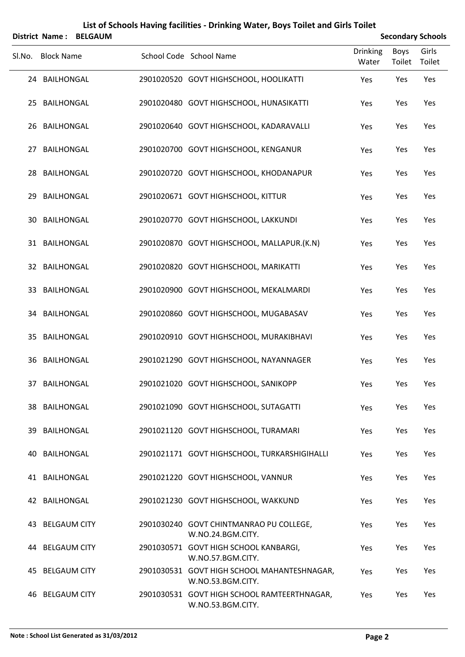|        | <b>District Name:</b> | <b>BELGAUM</b> | List of Schools Having facilities - Drinking Water, Boys Toilet and Girls Toilet |                          |                       | <b>Secondary Schools</b> |
|--------|-----------------------|----------------|----------------------------------------------------------------------------------|--------------------------|-----------------------|--------------------------|
| Sl.No. | <b>Block Name</b>     |                | School Code School Name                                                          | <b>Drinking</b><br>Water | <b>Boys</b><br>Toilet | Girls<br>Toilet          |
|        | 24 BAILHONGAL         |                | 2901020520 GOVT HIGHSCHOOL, HOOLIKATTI                                           | Yes                      | Yes                   | Yes                      |
| 25.    | BAILHONGAL            |                | 2901020480 GOVT HIGHSCHOOL, HUNASIKATTI                                          | Yes                      | Yes                   | Yes                      |
| 26     | <b>BAILHONGAL</b>     |                | 2901020640 GOVT HIGHSCHOOL, KADARAVALLI                                          | Yes                      | Yes                   | Yes                      |
| 27     | <b>BAILHONGAL</b>     |                | 2901020700 GOVT HIGHSCHOOL, KENGANUR                                             | Yes                      | Yes                   | Yes                      |
| 28.    | <b>BAILHONGAL</b>     |                | 2901020720 GOVT HIGHSCHOOL, KHODANAPUR                                           | Yes                      | Yes                   | Yes                      |
| 29.    | <b>BAILHONGAL</b>     |                | 2901020671 GOVT HIGHSCHOOL, KITTUR                                               | Yes                      | Yes                   | Yes                      |
| 30     | <b>BAILHONGAL</b>     |                | 2901020770 GOVT HIGHSCHOOL, LAKKUNDI                                             | Yes                      | Yes                   | Yes                      |
|        | 31 BAILHONGAL         |                | 2901020870 GOVT HIGHSCHOOL, MALLAPUR.(K.N)                                       | Yes                      | Yes                   | Yes                      |
|        | 32 BAILHONGAL         |                | 2901020820 GOVT HIGHSCHOOL, MARIKATTI                                            | Yes                      | Yes                   | Yes                      |
| 33.    | <b>BAILHONGAL</b>     |                | 2901020900 GOVT HIGHSCHOOL, MEKALMARDI                                           | Yes                      | Yes                   | Yes                      |
| 34     | <b>BAILHONGAL</b>     |                | 2901020860 GOVT HIGHSCHOOL, MUGABASAV                                            | Yes                      | Yes                   | Yes                      |
| 35     | <b>BAILHONGAL</b>     |                | 2901020910 GOVT HIGHSCHOOL, MURAKIBHAVI                                          | Yes                      | Yes                   | Yes                      |
| 36     | <b>BAILHONGAL</b>     |                | 2901021290 GOVT HIGHSCHOOL, NAYANNAGER                                           | Yes                      | Yes                   | Yes                      |
|        | 37 BAILHONGAL         |                | 2901021020 GOVT HIGHSCHOOL, SANIKOPP                                             | Yes                      | Yes                   | Yes                      |
|        | 38 BAILHONGAL         |                | 2901021090 GOVT HIGHSCHOOL, SUTAGATTI                                            | Yes                      | Yes                   | Yes                      |
| 39     | BAILHONGAL            |                | 2901021120 GOVT HIGHSCHOOL, TURAMARI                                             | Yes                      | Yes                   | Yes                      |
|        | 40 BAILHONGAL         |                | 2901021171 GOVT HIGHSCHOOL, TURKARSHIGIHALLI                                     | Yes                      | Yes                   | Yes                      |
|        | 41 BAILHONGAL         |                | 2901021220 GOVT HIGHSCHOOL, VANNUR                                               | Yes                      | Yes                   | Yes                      |
|        | 42 BAILHONGAL         |                | 2901021230 GOVT HIGHSCHOOL, WAKKUND                                              | Yes                      | Yes                   | Yes                      |
| 43.    | <b>BELGAUM CITY</b>   |                | 2901030240 GOVT CHINTMANRAO PU COLLEGE,<br>W.NO.24.BGM.CITY.                     | Yes                      | Yes                   | Yes                      |
|        | 44 BELGAUM CITY       |                | 2901030571 GOVT HIGH SCHOOL KANBARGI,<br>W.NO.57.BGM.CITY.                       | Yes                      | Yes                   | Yes                      |
| 45.    | <b>BELGAUM CITY</b>   |                | 2901030531 GOVT HIGH SCHOOL MAHANTESHNAGAR,<br>W.NO.53.BGM.CITY.                 | Yes                      | Yes                   | Yes                      |
|        | 46 BELGAUM CITY       |                | 2901030531 GOVT HIGH SCHOOL RAMTEERTHNAGAR,<br>W.NO.53.BGM.CITY.                 | Yes                      | Yes                   | Yes                      |

#### **Note : School List Generated as 31/03/2012 Page 2**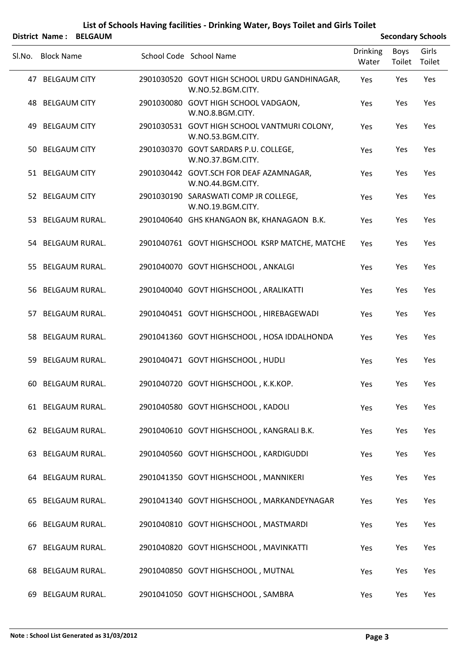#### **List of Schools Having facilities ‐ Drinking Water, Boys Toilet and Girls Toilet District Name : BELGAUM Secondary Schools**

|        |                   | DISTRICT MATHE: DELGAUM |                                                                    |                          |                | Secondary Schools |
|--------|-------------------|-------------------------|--------------------------------------------------------------------|--------------------------|----------------|-------------------|
| SI.No. | <b>Block Name</b> |                         | School Code School Name                                            | <b>Drinking</b><br>Water | Boys<br>Toilet | Girls<br>Toilet   |
|        | 47 BELGAUM CITY   |                         | 2901030520 GOVT HIGH SCHOOL URDU GANDHINAGAR,<br>W.NO.52.BGM.CITY. | Yes                      | Yes            | Yes               |
|        | 48 BELGAUM CITY   |                         | 2901030080 GOVT HIGH SCHOOL VADGAON,<br>W.NO.8.BGM.CITY.           | Yes                      | Yes            | Yes               |
|        | 49 BELGAUM CITY   |                         | 2901030531 GOVT HIGH SCHOOL VANTMURI COLONY,<br>W.NO.53.BGM.CITY.  | Yes                      | Yes            | Yes               |
|        | 50 BELGAUM CITY   |                         | 2901030370 GOVT SARDARS P.U. COLLEGE,<br>W.NO.37.BGM.CITY.         | Yes                      | Yes            | Yes               |
|        | 51 BELGAUM CITY   |                         | 2901030442 GOVT.SCH FOR DEAF AZAMNAGAR,<br>W.NO.44.BGM.CITY.       | Yes                      | Yes            | Yes               |
|        | 52 BELGAUM CITY   |                         | 2901030190 SARASWATI COMP JR COLLEGE,<br>W.NO.19.BGM.CITY.         | Yes                      | Yes            | Yes               |
|        |                   | 53 BELGAUM RURAL.       | 2901040640 GHS KHANGAON BK, KHANAGAON B.K.                         | Yes                      | Yes            | Yes               |
|        |                   | 54 BELGAUM RURAL.       | 2901040761 GOVT HIGHSCHOOL KSRP MATCHE, MATCHE                     | Yes                      | Yes            | Yes               |
|        |                   | 55 BELGAUM RURAL.       | 2901040070 GOVT HIGHSCHOOL, ANKALGI                                | Yes                      | Yes            | Yes               |
|        |                   | 56 BELGAUM RURAL.       | 2901040040 GOVT HIGHSCHOOL, ARALIKATTI                             | Yes                      | Yes            | Yes               |
|        |                   | 57 BELGAUM RURAL.       | 2901040451 GOVT HIGHSCHOOL, HIREBAGEWADI                           | Yes                      | Yes            | Yes               |
|        |                   | 58 BELGAUM RURAL.       | 2901041360 GOVT HIGHSCHOOL, HOSA IDDALHONDA                        | Yes                      | Yes            | Yes               |
|        |                   | 59 BELGAUM RURAL.       | 2901040471 GOVT HIGHSCHOOL, HUDLI                                  | Yes                      | Yes            | Yes               |
| 60     |                   | BELGAUM RURAL.          | 2901040720 GOVT HIGHSCHOOL, K.K.KOP.                               | Yes                      | Yes            | Yes               |
|        |                   | 61 BELGAUM RURAL.       | 2901040580 GOVT HIGHSCHOOL, KADOLI                                 | Yes                      | Yes            | Yes               |
|        |                   | 62 BELGAUM RURAL.       | 2901040610 GOVT HIGHSCHOOL, KANGRALI B.K.                          | Yes                      | Yes            | Yes               |
| 63.    |                   | <b>BELGAUM RURAL.</b>   | 2901040560 GOVT HIGHSCHOOL, KARDIGUDDI                             | Yes                      | Yes            | Yes               |
|        |                   | 64 BELGAUM RURAL.       | 2901041350 GOVT HIGHSCHOOL, MANNIKERI                              | Yes                      | Yes            | Yes               |
| 65     |                   | <b>BELGAUM RURAL.</b>   | 2901041340 GOVT HIGHSCHOOL, MARKANDEYNAGAR                         | Yes                      | Yes            | Yes               |
| 66     |                   | <b>BELGAUM RURAL.</b>   | 2901040810 GOVT HIGHSCHOOL, MASTMARDI                              | Yes                      | Yes            | Yes               |
| 67     |                   | <b>BELGAUM RURAL.</b>   | 2901040820 GOVT HIGHSCHOOL, MAVINKATTI                             | Yes                      | Yes            | Yes               |
| 68     |                   | BELGAUM RURAL.          | 2901040850 GOVT HIGHSCHOOL, MUTNAL                                 | Yes                      | Yes            | Yes               |
| 69     |                   | <b>BELGAUM RURAL.</b>   | 2901041050 GOVT HIGHSCHOOL, SAMBRA                                 | Yes                      | Yes            | Yes               |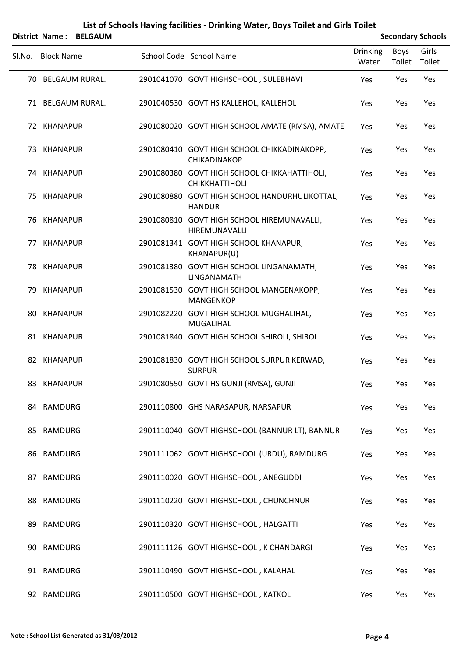|        | District Name: BELGAUM |  |                                                                       |                          | <b>Secondary Schools</b> |                 |  |  |
|--------|------------------------|--|-----------------------------------------------------------------------|--------------------------|--------------------------|-----------------|--|--|
| SI.No. | <b>Block Name</b>      |  | School Code School Name                                               | <b>Drinking</b><br>Water | Boys<br>Toilet           | Girls<br>Toilet |  |  |
|        | 70 BELGAUM RURAL.      |  | 2901041070 GOVT HIGHSCHOOL, SULEBHAVI                                 | Yes                      | Yes                      | Yes             |  |  |
|        | 71 BELGAUM RURAL.      |  | 2901040530 GOVT HS KALLEHOL, KALLEHOL                                 | Yes                      | Yes                      | Yes             |  |  |
|        | 72 KHANAPUR            |  | 2901080020 GOVT HIGH SCHOOL AMATE (RMSA), AMATE                       | Yes                      | Yes                      | Yes             |  |  |
|        | 73 KHANAPUR            |  | 2901080410 GOVT HIGH SCHOOL CHIKKADINAKOPP,<br>CHIKADINAKOP           | Yes                      | Yes                      | Yes             |  |  |
|        | 74 KHANAPUR            |  | 2901080380 GOVT HIGH SCHOOL CHIKKAHATTIHOLI,<br><b>CHIKKHATTIHOLI</b> | Yes                      | Yes                      | Yes             |  |  |
|        | 75 KHANAPUR            |  | 2901080880 GOVT HIGH SCHOOL HANDURHULIKOTTAL,<br><b>HANDUR</b>        | Yes                      | Yes                      | Yes             |  |  |
|        | 76 KHANAPUR            |  | 2901080810 GOVT HIGH SCHOOL HIREMUNAVALLI,<br>HIREMUNAVALLI           | Yes                      | Yes                      | Yes             |  |  |
|        | 77 KHANAPUR            |  | 2901081341 GOVT HIGH SCHOOL KHANAPUR,<br>KHANAPUR(U)                  | Yes                      | Yes                      | Yes             |  |  |
|        | 78 KHANAPUR            |  | 2901081380 GOVT HIGH SCHOOL LINGANAMATH,<br>LINGANAMATH               | Yes                      | Yes                      | Yes             |  |  |
|        | 79 KHANAPUR            |  | 2901081530 GOVT HIGH SCHOOL MANGENAKOPP,<br><b>MANGENKOP</b>          | Yes                      | Yes                      | Yes             |  |  |
|        | 80 KHANAPUR            |  | 2901082220 GOVT HIGH SCHOOL MUGHALIHAL,<br><b>MUGALIHAL</b>           | Yes                      | Yes                      | Yes             |  |  |
|        | 81 KHANAPUR            |  | 2901081840 GOVT HIGH SCHOOL SHIROLI, SHIROLI                          | Yes                      | Yes                      | Yes             |  |  |
|        | 82 KHANAPUR            |  | 2901081830 GOVT HIGH SCHOOL SURPUR KERWAD,<br><b>SURPUR</b>           | Yes                      | Yes                      | Yes             |  |  |
|        | 83 KHANAPUR            |  | 2901080550 GOVT HS GUNJI (RMSA), GUNJI                                | Yes                      | Yes                      | Yes             |  |  |
|        | 84 RAMDURG             |  | 2901110800 GHS NARASAPUR, NARSAPUR                                    | Yes                      | Yes                      | Yes             |  |  |
|        | 85 RAMDURG             |  | 2901110040 GOVT HIGHSCHOOL (BANNUR LT), BANNUR                        | Yes                      | Yes                      | Yes             |  |  |
|        | 86 RAMDURG             |  | 2901111062 GOVT HIGHSCHOOL (URDU), RAMDURG                            | Yes                      | Yes                      | Yes             |  |  |
|        | 87 RAMDURG             |  | 2901110020 GOVT HIGHSCHOOL, ANEGUDDI                                  | Yes                      | Yes                      | Yes             |  |  |
|        | 88 RAMDURG             |  | 2901110220 GOVT HIGHSCHOOL, CHUNCHNUR                                 | Yes                      | Yes                      | Yes             |  |  |
|        | 89 RAMDURG             |  | 2901110320 GOVT HIGHSCHOOL, HALGATTI                                  | Yes                      | Yes                      | Yes             |  |  |
|        | 90 RAMDURG             |  | 2901111126 GOVT HIGHSCHOOL, K CHANDARGI                               | Yes                      | Yes                      | Yes             |  |  |
|        | 91 RAMDURG             |  | 2901110490 GOVT HIGHSCHOOL, KALAHAL                                   | Yes                      | Yes                      | Yes             |  |  |
|        | 92 RAMDURG             |  | 2901110500 GOVT HIGHSCHOOL, KATKOL                                    | Yes                      | Yes                      | Yes             |  |  |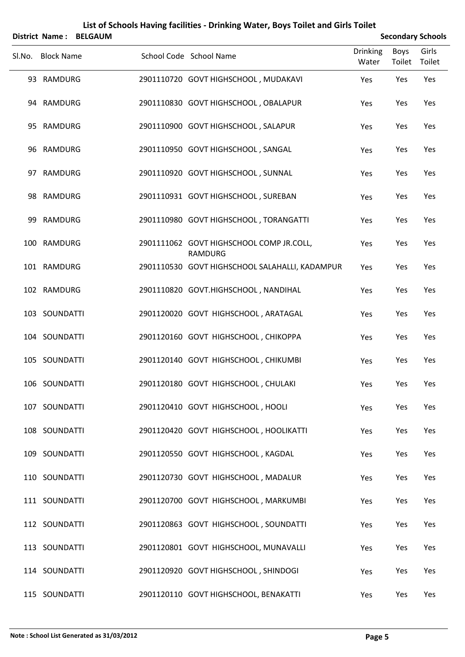|    | <b>District Name:</b> | <b>BELGAUM</b> |                                                            |                          |                | <b>Secondary Schools</b> |
|----|-----------------------|----------------|------------------------------------------------------------|--------------------------|----------------|--------------------------|
|    | Sl.No. Block Name     |                | School Code School Name                                    | <b>Drinking</b><br>Water | Boys<br>Toilet | Girls<br>Toilet          |
|    | 93 RAMDURG            |                | 2901110720 GOVT HIGHSCHOOL, MUDAKAVI                       | Yes                      | Yes            | Yes                      |
|    | 94 RAMDURG            |                | 2901110830 GOVT HIGHSCHOOL, OBALAPUR                       | Yes                      | Yes            | Yes                      |
| 95 | RAMDURG               |                | 2901110900 GOVT HIGHSCHOOL, SALAPUR                        | Yes                      | Yes            | Yes                      |
|    | 96 RAMDURG            |                | 2901110950 GOVT HIGHSCHOOL, SANGAL                         | Yes                      | Yes            | Yes                      |
| 97 | RAMDURG               |                | 2901110920 GOVT HIGHSCHOOL, SUNNAL                         | Yes                      | Yes            | Yes                      |
|    | 98 RAMDURG            |                | 2901110931 GOVT HIGHSCHOOL, SUREBAN                        | Yes                      | Yes            | Yes                      |
| 99 | RAMDURG               |                | 2901110980 GOVT HIGHSCHOOL, TORANGATTI                     | Yes                      | Yes            | Yes                      |
|    | 100 RAMDURG           |                | 2901111062 GOVT HIGHSCHOOL COMP JR.COLL,<br><b>RAMDURG</b> | Yes                      | Yes            | Yes                      |
|    | 101 RAMDURG           |                | 2901110530 GOVT HIGHSCHOOL SALAHALLI, KADAMPUR             | Yes                      | Yes            | Yes                      |
|    | 102 RAMDURG           |                | 2901110820 GOVT.HIGHSCHOOL, NANDIHAL                       | Yes                      | Yes            | Yes                      |
|    | 103 SOUNDATTI         |                | 2901120020 GOVT HIGHSCHOOL, ARATAGAL                       | Yes                      | Yes            | Yes                      |
|    | 104 SOUNDATTI         |                | 2901120160 GOVT HIGHSCHOOL, CHIKOPPA                       | Yes                      | Yes            | Yes                      |
|    | 105 SOUNDATTI         |                | 2901120140 GOVT HIGHSCHOOL, CHIKUMBI                       | Yes                      | Yes            | Yes                      |
|    | 106 SOUNDATTI         |                | 2901120180 GOVT HIGHSCHOOL, CHULAKI                        | Yes                      | Yes            | Yes                      |
|    | 107 SOUNDATTI         |                | 2901120410 GOVT HIGHSCHOOL, HOOLI                          | Yes                      | Yes            | Yes                      |
|    | 108 SOUNDATTI         |                | 2901120420 GOVT HIGHSCHOOL, HOOLIKATTI                     | Yes                      | Yes            | Yes                      |
|    | 109 SOUNDATTI         |                | 2901120550 GOVT HIGHSCHOOL, KAGDAL                         | Yes                      | Yes            | Yes                      |
|    | 110 SOUNDATTI         |                | 2901120730 GOVT HIGHSCHOOL, MADALUR                        | Yes                      | Yes            | Yes                      |
|    | 111 SOUNDATTI         |                | 2901120700 GOVT HIGHSCHOOL, MARKUMBI                       | Yes                      | Yes            | Yes                      |
|    | 112 SOUNDATTI         |                | 2901120863 GOVT HIGHSCHOOL, SOUNDATTI                      | Yes                      | Yes            | Yes                      |
|    | 113 SOUNDATTI         |                | 2901120801 GOVT HIGHSCHOOL, MUNAVALLI                      | Yes                      | Yes            | Yes                      |
|    | 114 SOUNDATTI         |                | 2901120920 GOVT HIGHSCHOOL, SHINDOGI                       | Yes                      | Yes            | Yes                      |
|    | 115 SOUNDATTI         |                | 2901120110 GOVT HIGHSCHOOL, BENAKATTI                      | Yes                      | Yes            | Yes                      |